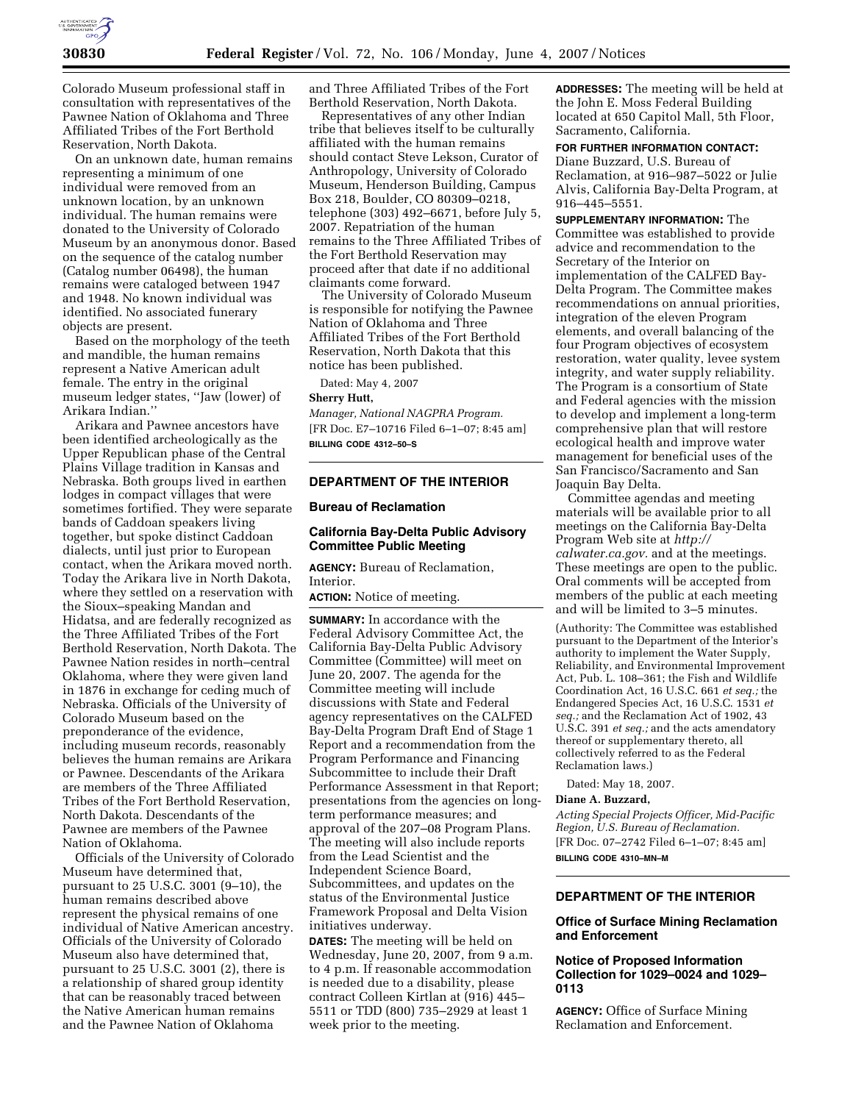

Colorado Museum professional staff in consultation with representatives of the Pawnee Nation of Oklahoma and Three Affiliated Tribes of the Fort Berthold Reservation, North Dakota.

On an unknown date, human remains representing a minimum of one individual were removed from an unknown location, by an unknown individual. The human remains were donated to the University of Colorado Museum by an anonymous donor. Based on the sequence of the catalog number (Catalog number 06498), the human remains were cataloged between 1947 and 1948. No known individual was identified. No associated funerary objects are present.

Based on the morphology of the teeth and mandible, the human remains represent a Native American adult female. The entry in the original museum ledger states, ''Jaw (lower) of Arikara Indian.''

Arikara and Pawnee ancestors have been identified archeologically as the Upper Republican phase of the Central Plains Village tradition in Kansas and Nebraska. Both groups lived in earthen lodges in compact villages that were sometimes fortified. They were separate bands of Caddoan speakers living together, but spoke distinct Caddoan dialects, until just prior to European contact, when the Arikara moved north. Today the Arikara live in North Dakota, where they settled on a reservation with the Sioux–speaking Mandan and Hidatsa, and are federally recognized as the Three Affiliated Tribes of the Fort Berthold Reservation, North Dakota. The Pawnee Nation resides in north–central Oklahoma, where they were given land in 1876 in exchange for ceding much of Nebraska. Officials of the University of Colorado Museum based on the preponderance of the evidence, including museum records, reasonably believes the human remains are Arikara or Pawnee. Descendants of the Arikara are members of the Three Affiliated Tribes of the Fort Berthold Reservation, North Dakota. Descendants of the Pawnee are members of the Pawnee Nation of Oklahoma.

Officials of the University of Colorado Museum have determined that, pursuant to 25 U.S.C. 3001 (9–10), the human remains described above represent the physical remains of one individual of Native American ancestry. Officials of the University of Colorado Museum also have determined that, pursuant to 25 U.S.C. 3001 (2), there is a relationship of shared group identity that can be reasonably traced between the Native American human remains and the Pawnee Nation of Oklahoma

and Three Affiliated Tribes of the Fort Berthold Reservation, North Dakota.

Representatives of any other Indian tribe that believes itself to be culturally affiliated with the human remains should contact Steve Lekson, Curator of Anthropology, University of Colorado Museum, Henderson Building, Campus Box 218, Boulder, CO 80309–0218, telephone (303) 492–6671, before July 5, 2007. Repatriation of the human remains to the Three Affiliated Tribes of the Fort Berthold Reservation may proceed after that date if no additional claimants come forward.

The University of Colorado Museum is responsible for notifying the Pawnee Nation of Oklahoma and Three Affiliated Tribes of the Fort Berthold Reservation, North Dakota that this notice has been published.

Dated: May 4, 2007

#### **Sherry Hutt,**

*Manager, National NAGPRA Program.*  [FR Doc. E7–10716 Filed 6–1–07; 8:45 am] **BILLING CODE 4312–50–S** 

## **DEPARTMENT OF THE INTERIOR**

### **Bureau of Reclamation**

# **California Bay-Delta Public Advisory Committee Public Meeting**

**AGENCY:** Bureau of Reclamation, Interior.

**ACTION:** Notice of meeting.

**SUMMARY:** In accordance with the Federal Advisory Committee Act, the California Bay-Delta Public Advisory Committee (Committee) will meet on June 20, 2007. The agenda for the Committee meeting will include discussions with State and Federal agency representatives on the CALFED Bay-Delta Program Draft End of Stage 1 Report and a recommendation from the Program Performance and Financing Subcommittee to include their Draft Performance Assessment in that Report; presentations from the agencies on longterm performance measures; and approval of the 207–08 Program Plans. The meeting will also include reports from the Lead Scientist and the Independent Science Board, Subcommittees, and updates on the status of the Environmental Justice Framework Proposal and Delta Vision initiatives underway.

**DATES:** The meeting will be held on Wednesday, June 20, 2007, from 9 a.m. to 4 p.m. If reasonable accommodation is needed due to a disability, please contract Colleen Kirtlan at (916) 445– 5511 or TDD (800) 735–2929 at least 1 week prior to the meeting.

**ADDRESSES:** The meeting will be held at the John E. Moss Federal Building located at 650 Capitol Mall, 5th Floor, Sacramento, California.

### **FOR FURTHER INFORMATION CONTACT:**

Diane Buzzard, U.S. Bureau of Reclamation, at 916–987–5022 or Julie Alvis, California Bay-Delta Program, at 916–445–5551.

**SUPPLEMENTARY INFORMATION:** The Committee was established to provide advice and recommendation to the Secretary of the Interior on implementation of the CALFED Bay-Delta Program. The Committee makes recommendations on annual priorities, integration of the eleven Program elements, and overall balancing of the four Program objectives of ecosystem restoration, water quality, levee system integrity, and water supply reliability. The Program is a consortium of State and Federal agencies with the mission to develop and implement a long-term comprehensive plan that will restore ecological health and improve water management for beneficial uses of the San Francisco/Sacramento and San Joaquin Bay Delta.

Committee agendas and meeting materials will be available prior to all meetings on the California Bay-Delta Program Web site at *http:// calwater.ca.gov.* and at the meetings. These meetings are open to the public. Oral comments will be accepted from members of the public at each meeting and will be limited to 3–5 minutes.

(Authority: The Committee was established pursuant to the Department of the Interior's authority to implement the Water Supply, Reliability, and Environmental Improvement Act, Pub. L. 108–361; the Fish and Wildlife Coordination Act, 16 U.S.C. 661 *et seq.;* the Endangered Species Act, 16 U.S.C. 1531 *et seq.;* and the Reclamation Act of 1902, 43 U.S.C. 391 *et seq.;* and the acts amendatory thereof or supplementary thereto, all collectively referred to as the Federal Reclamation laws.)

Dated: May 18, 2007.

#### **Diane A. Buzzard,**

*Acting Special Projects Officer, Mid-Pacific Region, U.S. Bureau of Reclamation.*  [FR Doc. 07–2742 Filed 6–1–07; 8:45 am] **BILLING CODE 4310–MN–M** 

### **DEPARTMENT OF THE INTERIOR**

### **Office of Surface Mining Reclamation and Enforcement**

## **Notice of Proposed Information Collection for 1029–0024 and 1029– 0113**

**AGENCY:** Office of Surface Mining Reclamation and Enforcement.